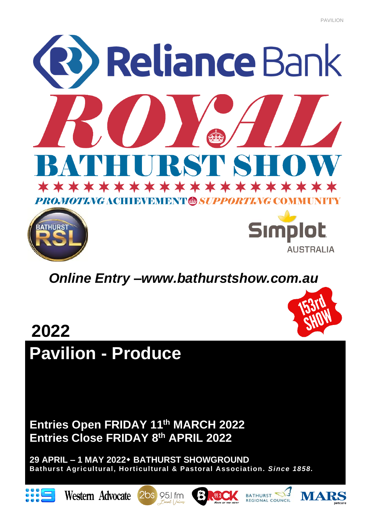



# *Online Entry –www.bathurstshow.com.au*



# **2022 Pavilion - Produce**

**Entries Open FRIDAY 11th MARCH 2022 Entries Close FRIDAY 8th APRIL 2022**

**29 APRIL – 1 MAY 2022 BATHURST SHOWGROUND Bathurst Agricultural, Horticultural & Pastoral Association.** *Since 1858.*











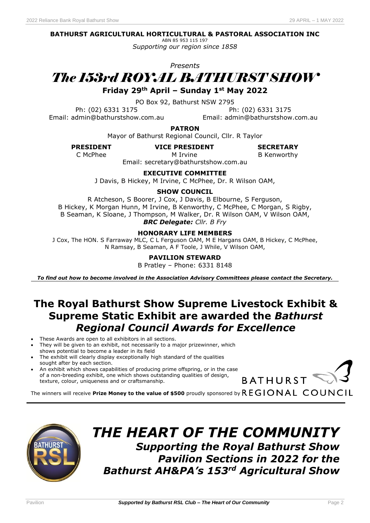# **BATHURST AGRICULTURAL HORTICULTURAL & PASTORAL ASSOCIATION INC**

ABN 85 953 115 197 *Supporting our region since 1858*

*Presents*

# *The 153rd ROYAL BATHURST SHOW*

**Friday 29th April – Sunday 1st May 2022**

PO Box 92, Bathurst NSW 2795

Ph: (02) 6331 3175 Ph: (02) 6331 3175 Email: admin@bathurstshow.com.au Email: admin@bathurstshow.com.au

**PATRON**

Mayor of Bathurst Regional Council, Cllr. R Taylor

**PRESIDENT VICE PRESIDENT**

**SECRETARY**

M Irvine C McPhee **B Kenworthy M** Irvine **B** Kenworthy

Email: secretary@bathurstshow.com.au

**EXECUTIVE COMMITTEE**

J Davis, B Hickey, M Irvine, C McPhee, Dr. R Wilson OAM,

# **SHOW COUNCIL**

R Atcheson, S Boorer, J Cox, J Davis, B Elbourne, S Ferguson, B Hickey, K Morgan Hunn, M Irvine, B Kenworthy, C McPhee, C Morgan, S Rigby, B Seaman, K Sloane, J Thompson, M Walker, Dr. R Wilson OAM, V Wilson OAM, *BRC Delegate: Cllr. B Fry*

# **HONORARY LIFE MEMBERS**

J Cox, The HON. S Farraway MLC, C L Ferguson OAM, M E Hargans OAM, B Hickey, C McPhee, N Ramsay, B Seaman, A F Toole, J While, V Wilson OAM,

# **PAVILION STEWARD**

B Pratley – Phone: 6331 8148

*To find out how to become involved in the Association Advisory Committees please contact the Secretary.*

# **The Royal Bathurst Show Supreme Livestock Exhibit & Supreme Static Exhibit are awarded the** *Bathurst Regional Council Awards for Excellence*

- These Awards are open to all exhibitors in all sections.
- They will be given to an exhibit, not necessarily to a major prizewinner, which
- shows potential to become a leader in its field
- The exhibit will clearly display exceptionally high standard of the qualities sought after by each section.
- An exhibit which shows capabilities of producing prime offspring, or in the case of a non-breeding exhibit, one which shows outstanding qualities of design, texture, colour, uniqueness and or craftsmanship.



The winners will receive Prize Money to the value of \$500 proudly sponsored by  $REGIONAL<sup>C</sup>ONAL$ 



# *THE HEART OF THE COMMUNITY Supporting the Royal Bathurst Show Pavilion Sections in 2022 for the Bathurst AH&PA's 153rd Agricultural Show*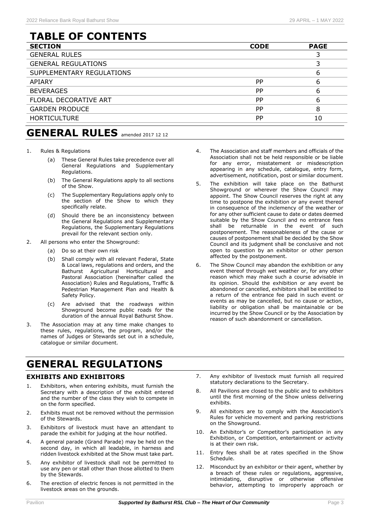# **TABLE OF CONTENTS**

| <b>SECTION</b>             | <b>CODE</b> | <b>PAGE</b> |
|----------------------------|-------------|-------------|
| <b>GENERAL RULES</b>       |             |             |
| <b>GENERAL REGULATIONS</b> |             |             |
| SUPPLEMENTARY REGULATIONS  |             | 6           |
| <b>APIARY</b>              | <b>PP</b>   | 6           |
| <b>BEVERAGES</b>           | PP          | 6           |
| FLORAL DECORATIVE ART      | <b>PP</b>   | 6           |
| <b>GARDEN PRODUCE</b>      | <b>PP</b>   | 8           |
| <b>HORTICULTURE</b>        | <b>PP</b>   | 10          |

- 1. Rules & Regulations
	- (a) These General Rules take precedence over all General Regulations and Supplementary Regulations.
	- (b) The General Regulations apply to all sections of the Show.
	- (c) The Supplementary Regulations apply only to the section of the Show to which they specifically relate.
	- (d) Should there be an inconsistency between the General Regulations and Supplementary Regulations, the Supplementary Regulations prevail for the relevant section only.
- 2. All persons who enter the Showground:
	- (a) Do so at their own risk
	- (b) Shall comply with all relevant Federal, State & Local laws, regulations and orders, and the Bathurst Agricultural Horticultural and Pastoral Association (hereinafter called the Association) Rules and Regulations, Traffic & Pedestrian Management Plan and Health & Safety Policy.
	- (c) Are advised that the roadways within Showground become public roads for the duration of the annual Royal Bathurst Show.
- 3. The Association may at any time make changes to these rules, regulations, the program, and/or the names of Judges or Stewards set out in a schedule, catalogue or similar document.

# **GENERAL REGULATIONS**

# **EXHIBITS AND EXHIBITORS**

- 1. Exhibitors, when entering exhibits, must furnish the Secretary with a description of the exhibit entered and the number of the class they wish to compete in on the form specified.
- 2. Exhibits must not be removed without the permission of the Stewards.
- 3. Exhibitors of livestock must have an attendant to parade the exhibit for judging at the hour notified.
- 4. A general parade (Grand Parade) may be held on the second day, in which all leadable, in harness and ridden livestock exhibited at the Show must take part.
- 5. Any exhibitor of livestock shall not be permitted to use any pen or stall other than those allotted to them by the Stewards.
- 6. The erection of electric fences is not permitted in the livestock areas on the grounds.
- 4. The Association and staff members and officials of the Association shall not be held responsible or be liable for any error, misstatement or misdescription appearing in any schedule, catalogue, entry form, advertisement, notification, post or similar document.
- 5. The exhibition will take place on the Bathurst Showground or wherever the Show Council may appoint. The Show Council reserves the right at any time to postpone the exhibition or any event thereof in consequence of the inclemency of the weather or for any other sufficient cause to date or dates deemed suitable by the Show Council and no entrance fees shall be returnable in the event of such postponement. The reasonableness of the cause or causes of postponement shall be decided by the Show Council and its judgment shall be conclusive and not open to question by an exhibitor or other person affected by the postponement.
- 6. The Show Council may abandon the exhibition or any event thereof through wet weather or, for any other reason which may make such a course advisable in its opinion. Should the exhibition or any event be abandoned or cancelled, exhibitors shall be entitled to a return of the entrance fee paid in such event or events as may be cancelled, but no cause or action, liability or obligation shall be maintainable or be incurred by the Show Council or by the Association by reason of such abandonment or cancellation.
- 7. Any exhibitor of livestock must furnish all required statutory declarations to the Secretary.
- 8. All Pavilions are closed to the public and to exhibitors until the first morning of the Show unless delivering exhibits.
- 9. All exhibitors are to comply with the Association's Rules for vehicle movement and parking restrictions on the Showground.
- 10. An Exhibitor's or Competitor's participation in any Exhibition, or Competition, entertainment or activity is at their own risk.
- 11. Entry fees shall be at rates specified in the Show Schedule.
- 12. Misconduct by an exhibitor or their agent, whether by a breach of these rules or regulations, aggressive, intimidating, disruptive or otherwise offensive behavior, attempting to improperly approach or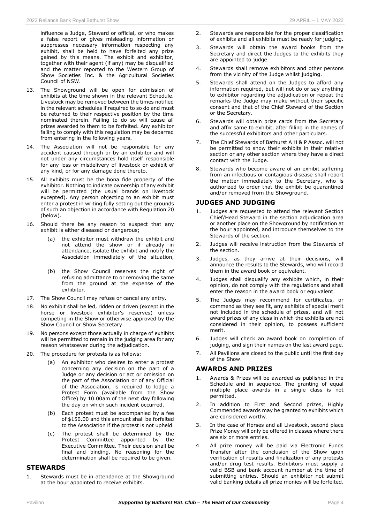influence a Judge, Steward or official, or who makes a false report or gives misleading information or suppresses necessary information respecting any exhibit, shall be held to have forfeited any prize gained by this means. The exhibit and exhibitor, together with their agent (if any) may be disqualified and the matter reported to the Western Group of Show Societies Inc. & the Agricultural Societies Council of NSW.

- 13. The Showground will be open for admission of exhibits at the time shown in the relevant Schedule. Livestock may be removed between the times notified in the relevant schedules if required to so do and must be returned to their respective position by the time nominated therein. Failing to do so will cause all prizes awarded to them to be forfeited. Any exhibitor failing to comply with this regulation may be debarred from entering in the following years.
- 14. The Association will not be responsible for any accident caused through or by an exhibitor and will not under any circumstances hold itself responsible for any loss or misdelivery of livestock or exhibit of any kind, or for any damage done thereto.
- 15. All exhibits must be the bona fide property of the exhibitor. Nothing to indicate ownership of any exhibit will be permitted (the usual brands on livestock excepted). Any person objecting to an exhibit must enter a protest in writing fully setting out the grounds of such an objection in accordance with Regulation 20 (below).
- 16. Should there be any reason to suspect that any exhibit is either diseased or dangerous;
	- (a) the exhibitor must withdraw the exhibit and not attend the show or if already in attendance, isolate the exhibit and notify the Association immediately of the situation,
	- (b) the Show Council reserves the right of refusing admittance to or removing the same from the ground at the expense of the exhibitor.
- 17. The Show Council may refuse or cancel any entry.
- 18. No exhibit shall be led, ridden or driven (except in the horse or livestock exhibitor's reserves) unless competing in the Show or otherwise approved by the Show Council or Show Secretary.
- 19. No persons except those actually in charge of exhibits will be permitted to remain in the judging area for any reason whatsoever during the adjudication.
- 20. The procedure for protests is as follows:
	- (a) An exhibitor who desires to enter a protest concerning any decision on the part of a Judge or any decision or act or omission on the part of the Association or of any Official of the Association, is required to lodge a Protest Form (available from the Show Office) by 10.00am of the next day following the day on which such incident occurred.
	- (b) Each protest must be accompanied by a fee of \$150.00 and this amount shall be forfeited to the Association if the protest is not upheld.
	- (c) The protest shall be determined by the Protest Committee appointed by the Executive Committee. Their decision shall be final and binding. No reasoning for the determination shall be required to be given.

### **STEWARDS**

1. Stewards must be in attendance at the Showground at the hour appointed to receive exhibits.

- 2. Stewards are responsible for the proper classification of exhibits and all exhibits must be ready for judging.
- 3. Stewards will obtain the award books from the Secretary and direct the Judges to the exhibits they are appointed to judge.
- 4. Stewards shall remove exhibitors and other persons from the vicinity of the Judge whilst judging.
- 5. Stewards shall attend on the Judges to afford any information required, but will not do or say anything to exhibitor regarding the adjudication or repeat the remarks the Judge may make without their specific consent and that of the Chief Steward of the Section or the Secretary.
- 6. Stewards will obtain prize cards from the Secretary and affix same to exhibit, after filling in the names of the successful exhibitors and other particulars.
- 7. The Chief Stewards of Bathurst A H & P Assoc. will not be permitted to show their exhibits in their relative section or any other section where they have a direct contact with the Judge.
- 8. Stewards who become aware of an exhibit suffering from an infectious or contagious disease shall report the matter immediately to the Secretary, who is authorized to order that the exhibit be quarantined and/or removed from the Showground.

### **JUDGES AND JUDGING**

- 1. Judges are requested to attend the relevant Section Chief/Head Steward in the section adjudication area or another place on the Showground by notification at the hour appointed, and introduce themselves to the Stewards of the section.
- 2. Judges will receive instruction from the Stewards of the cection
- 3. Judges, as they arrive at their decisions, will announce the results to the Stewards, who will record them in the award book or equivalent.
- 4. Judges shall disqualify any exhibits which, in their opinion, do not comply with the regulations and shall enter the reason in the award book or equivalent.
- 5. The Judges may recommend for certificates, or commend as they see fit, any exhibits of special merit not included in the schedule of prizes, and will not award prizes of any class in which the exhibits are not considered in their opinion, to possess sufficient merit.
- 6. Judges will check an award book on completion of judging, and sign their names on the last award page.
- 7. All Pavilions are closed to the public until the first day of the Show.

### **AWARDS AND PRIZES**

- 1. Awards & Prizes will be awarded as published in the Schedule and in sequence. The granting of equal multiple place awards in a single class is not permitted.
- 2. In addition to First and Second prizes, Highly Commended awards may be granted to exhibits which are considered worthy.
- 3. In the case of Horses and all Livestock, second place Prize Money will only be offered in classes where there are six or more entries.
- 4. All prize money will be paid via Electronic Funds Transfer after the conclusion of the Show upon verification of results and finalization of any protests and/or drug test results. Exhibitors must supply a valid BSB and bank account number at the time of submitting entries. Should an exhibitor not submit valid banking details all prize monies will be forfeited.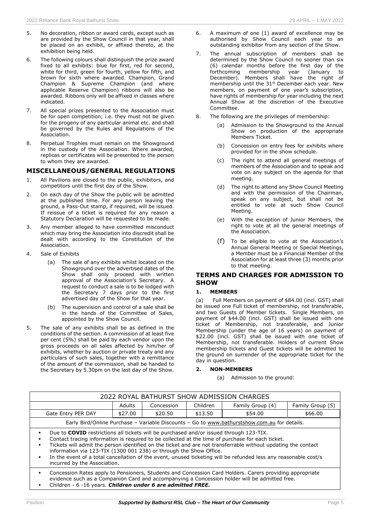- 5. No decoration, ribbon or award cards, except such as are provided by the Show Council in that year, shall be placed on an exhibit, or affixed thereto, at the exhibition being held.
- 6. The following colours shall distinguish the prize award fixed to all exhibits: blue for first, red for second, white for third, green for fourth, yellow for fifth, and brown for sixth where awarded. Champion, Grand Champion & Supreme Champion (and where applicable Reserve Champion) ribbons will also be awarded. Ribbons only will be affixed in classes where indicated.
- 7. All special prizes presented to the Association must be for open competition; i.e. they must not be given for the progeny of any particular animal etc. and shall be governed by the Rules and Regulations of the Association.
- 8. Perpetual Trophies must remain on the Showground in the custody of the Association. Where awarded, replicas or certificates will be presented to the person to whom they are awarded.

## **MISCELLANEOUS/GENERAL REGULATIONS**

- 1. All Pavilions are closed to the public, exhibitors, and competitors until the first day of the Show.
- 2. On each day of the Show the public will be admitted at the published time. For any person leaving the ground, a Pass-Out stamp, if required, will be issued. If reissue of a ticket is required for any reason a Statutory Declaration will be requested to be made.
- 3. Any member alleged to have committed misconduct which may bring the Association into discredit shall be dealt with according to the Constitution of the Association.
- 4. Sale of Exhibits
	- (a) The sale of any exhibits whilst located on the Showground over the advertised dates of the Show shall only proceed with written approval of the Association's Secretary. A request to conduct a sale is to be lodged with the Secretary 7 days prior to the first advertised day of the Show for that year.
	- (b) The supervision and control of a sale shall be in the hands of the Committee of Sales, appointed by the Show Council.
- 5. The sale of any exhibits shall be as defined in the conditions of the section. A commission of at least five per cent (5%) shall be paid by each vendor upon the gross proceeds on all sales affected by him/her of exhibits, whether by auction or private treaty and any particulars of such sales, together with a remittance of the amount of the commission, shall be handed to the Secretary by 5.30pm on the last day of the Show.
- 6. A maximum of one (1) award of excellence may be authorised by Show Council each year to an outstanding exhibitor from any section of the Show.
- 7. The annual subscription of members shall be determined by the Show Council no sooner than six (6) calendar months before the first day of the membership year (January to December). Members shall have the right of membership until the 31<sup>st</sup> December each year. New members, on payment of one year's subscription, have rights of membership for year including the next Annual Show at the discretion of the Executive Committee.
- 8. The following are the privileges of membership:
	- (a) Admission to the Showground to the Annual Show on production of the appropriate Members Ticket.
	- (b) Concession on entry fees for exhibits where provided for in the show schedule.
	- (c) The right to attend all general meetings of members of the Association and to speak and vote on any subject on the agenda for that meeting.
	- (d) The right to attend any Show Council Meeting and with the permission of the Chairman, speak on any subject, but shall not be entitled to vote at such Show Council Meeting.
	- (e) With the exception of Junior Members, the right to vote at all the general meetings of the Association.
	- (f) To be eligible to vote at the Association's Annual General Meeting or Special Meetings, a Member must be a Financial Member of the Association for at least three (3) months prior to that meeting.

# **TERMS AND CHARGES FOR ADMISSION TO SHOW**

### **1. MEMBERS**

(a) Full Members on payment of \$84.00 (incl. GST) shall be issued one Full ticket of membership, not transferable, and two Guests of Member tickets. Single Members, on payment of \$44.00 (incl. GST) shall be issued with one ticket of Membership, not transferable, and Junior Membership (under the age of 16 years) on payment of \$22.00 (incl. GST) shall be issued with one ticket of Membership, not transferable. Holders of current Show membership tickets and Guest tickets will be admitted to the ground on surrender of the appropriate ticket for the day in question.

## **2. NON-MEMBERS**

(a) Admission to the ground:

| 2022 ROYAL BATHURST SHOW ADMISSION CHARGES                                                                                                                                                                                                                                                                                                                                                                                                                                                                                                  |         |            |          |                  |                  |  |  |
|---------------------------------------------------------------------------------------------------------------------------------------------------------------------------------------------------------------------------------------------------------------------------------------------------------------------------------------------------------------------------------------------------------------------------------------------------------------------------------------------------------------------------------------------|---------|------------|----------|------------------|------------------|--|--|
|                                                                                                                                                                                                                                                                                                                                                                                                                                                                                                                                             | Adults  | Concession | Children | Family Group (4) | Family Group (5) |  |  |
| Gate Entry PER DAY                                                                                                                                                                                                                                                                                                                                                                                                                                                                                                                          | \$27.00 | \$20.50    | \$13.50  | \$54.00          | \$66.00          |  |  |
| Early Bird/Online Purchase - Variable Discounts - Go to www.bathurstshow.com.au for details.                                                                                                                                                                                                                                                                                                                                                                                                                                                |         |            |          |                  |                  |  |  |
| Due to <b>COVID</b> restrictions all tickets will be purchased and/or issued through 123-TIX.<br>Contact tracing information is required to be collected at the time of purchase for each ticket.<br>Tickets will admit the person identified on the ticket and are not transferrable without updating the contact<br>information via 123-TIX (1300 001 238) or through the Show Office.<br>In the event of a total cancellation of the event, unused ticketing will be refunded less any reasonable cost/s<br>incurred by the Association. |         |            |          |                  |                  |  |  |
| Concession Rates apply to Pensioners, Students and Concession Card Holders. Carers providing appropriate<br>evidence such as a Companion Card and accompanying a Concession holder will be admitted free.<br>Children - 6 -16 years. Children under 6 are admitted FREE.                                                                                                                                                                                                                                                                    |         |            |          |                  |                  |  |  |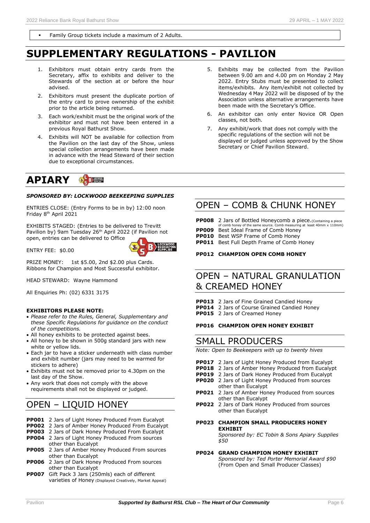Family Group tickets include a maximum of 2 Adults.

# **SUPPLEMENTARY REGULATIONS - PAVILION**

- Exhibitors must obtain entry cards from the Secretary, affix to exhibits and deliver to the Stewards of the section at or before the hour advised.
- 2. Exhibitors must present the duplicate portion of the entry card to prove ownership of the exhibit prior to the article being returned.
- 3. Each work/exhibit must be the original work of the exhibitor and must not have been entered in a previous Royal Bathurst Show.
- 4. Exhibits will NOT be available for collection from the Pavilion on the last day of the Show, unless special collection arrangements have been made in advance with the Head Steward of their section due to exceptional circumstances.

#### **APIARY B**

# *SPONSORED BY: LOCKWOOD BEEKEEPING SUPPLIES*

ENTRIES CLOSE: (Entry Forms to be in by) 12:00 noon Friday 8<sup>th</sup> April 2021

EXHIBITS STAGED: (Entries to be delivered to Trevitt Pavilion by) 9am Tuesday 26<sup>th</sup> April 2022 (if Pavilion not open, entries can be delivered to Office

ENTRY FEE: \$0.00



PRIZE MONEY: 1st \$5.00, 2nd \$2.00 plus Cards. Ribbons for Champion and Most Successful exhibitor.

HEAD STEWARD: Wayne Hammond

All Enquiries Ph: (02) 6331 3175

## **EXHIBITORS PLEASE NOTE:**

- *Please refer to the Rules, General, Supplementary and these Specific Regulations for guidance on the conduct of the competitions.*
- All honey exhibits to be protected against bees.
- All honey to be shown in 500g standard jars with new white or yellow lids.
- Each jar to have a sticker underneath with class number and exhibit number (jars may need to be warmed for stickers to adhere)
- Exhibits must not be removed prior to 4.30pm on the last day of the Show.
- Any work that does not comply with the above requirements shall not be displayed or judged.

# OPEN – LIQUID HONEY

- **PP001** 2 Jars of Light Honey Produced From Eucalypt
- **PP002** 2 Jars of Amber Honey Produced From Eucalypt
- **PP003** 2 Jars of Dark Honey Produced From Eucalypt **PP004** 2 Jars of Light Honey Produced From sources
- other than Eucalypt **PP005** 2 Jars of Amber Honey Produced From sources
- other than Eucalypt
- **PP006** 2 Jars of Dark Honey Produced From sources other than Eucalypt
- **PP007** Gift Pack 3 Jars (250mls) each of different varieties of Honey (Displayed Creatively, Market Appeal)
- 5. Exhibits may be collected from the Pavilion between 9.00 am and 4.00 pm on Monday 2 May 2022. Entry Stubs must be presented to collect items/exhibits. Any item/exhibit not collected by Wednesday 4 May 2022 will be disposed of by the Association unless alternative arrangements have been made with the Secretary's Office.
- 6. An exhibitor can only enter Novice OR Open classes, not both.
- 7. Any exhibit/work that does not comply with the specific regulations of the section will not be displayed or judged unless approved by the Show Secretary or Chief Pavilion Steward.

# OPEN – COMB & CHUNK HONEY

**PP008** 2 Jars of Bottled Honeycomb a piece. (Containing a piece of comb honey of the same source. Comb measuring at least 40mm x 110mm) **PP009** Best Ideal Frame of Comb Honey **PP010** Best WSP Frame of Comb Honey **PP011** Best Full Depth Frame of Comb Honey

### **PP012 CHAMPION OPEN COMB HONEY**

# OPEN – NATURAL GRANULATION & CREAMED HONEY

**PP013** 2 Jars of Fine Grained Candied Honey **PP014** 2 Jars of Course Grained Candied Honey **PP015** 2 Jars of Creamed Honey

## **PP016 CHAMPION OPEN HONEY EXHIBIT**

# SMALL PRODUCERS

*Note: Open to Beekeepers with up to twenty hives*

- **PP017** 2 Jars of Light Honey Produced from Eucalypt
- **PP018** 2 Jars of Amber Honey Produced from Eucalypt
- **PP019** 2 Jars of Dark Honey Produced from Eucalypt
- **PP020** 2 Jars of Light Honey Produced from sources other than Eucalypt
- **PP021** 2 Jars of Amber Honey Produced from sources other than Eucalypt
- **PP022** 2 Jars of Dark Honey Produced from sources other than Eucalypt
- **PP023 CHAMPION SMALL PRODUCERS HONEY EXHIBIT**

*Sponsored by: EC Tobin & Sons Apiary Supplies \$50*

#### **PP024 GRAND CHAMPION HONEY EXHIBIT** *Sponsored by: Ted Porter Memorial Award \$90* (From Open and Small Producer Classes)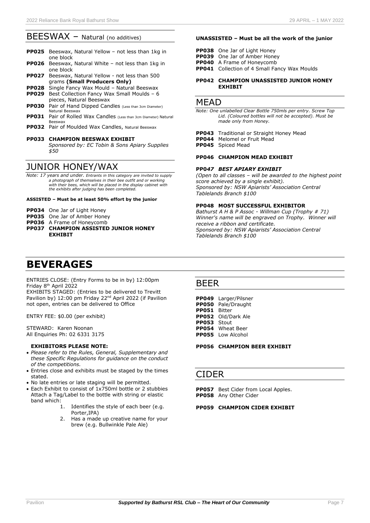# BEESWAX - Natural (no additives)

- **PP025** Beeswax, Natural Yellow not less than 1kg in one block
- **PP026** Beeswax, Natural White not less than 1kg in one block
- **PP027** Beeswax, Natural Yellow not less than 500 grams **(Small Producers Only)**
- **PP028** Single Fancy Wax Mould Natural Beeswax
- **PP029** Best Collection Fancy Wax Small Moulds 6 pieces, Natural Beeswax
- **PP030** Pair of Hand Dipped Candles (Less than 3cm Diameter) Natural Beeswax
- **PP031** Pair of Rolled Wax Candles (Less than 3cm Diameter) Natural Beeswax
- **PP032** Pair of Moulded Wax Candles, Natural Beeswax
- **PP033 CHAMPION BEESWAX EXHIBIT**

 *Sponsored by: EC Tobin & Sons Apiary Supplies \$50*

# JUNIOR HONEY/WAX

*Note: 17 years and under. Entrants in this category are invited to supply a photograph of themselves in their bee outfit and or working with their bees, which will be placed in the display cabinet with the exhibits after judging has been completed.*

## **ASSISTED – Must be at least 50% effort by the junior**

- **PP034** One Jar of Light Honey
- **PP035** One Jar of Amber Honey
- **PP036** A Frame of Honeycomb
- **PP037 CHAMPION ASSISTED JUNIOR HONEY EXHIBIT**

# **BEVERAGES**

ENTRIES CLOSE: (Entry Forms to be in by) 12:00pm Friday 8<sup>th</sup> April 2022

EXHIBITS STAGED: (Entries to be delivered to Trevitt Pavilion by) 12:00 pm Friday 22<sup>nd</sup> April 2022 (if Pavilion not open, entries can be delivered to Office

ENTRY FEE: \$0.00 (per exhibit)

STEWARD: Karen Noonan All Enquiries Ph: 02 6331 3175

### **EXHIBITORS PLEASE NOTE:**

- *Please refer to the Rules, General, Supplementary and these Specific Regulations for guidance on the conduct of the competitions.*
- Entries close and exhibits must be staged by the times stated.
- No late entries or late staging will be permitted.
- Each Exhibit to consist of 1x750ml bottle or 2 stubbies Attach a Tag/Label to the bottle with string or elastic band which:<br>1.
	- Identifies the style of each beer (e.g. Porter IPA)
	- 2. Has a made up creative name for your brew (e.g. Bullwinkle Pale Ale)

### **UNASSISTED – Must be all the work of the junior**

- **PP038** One Jar of Light Honey
- **PP039** One Jar of Amber Honey
- **PP040** A Frame of Honeycomb
- **PP041** Collection of 4 Small Fancy Wax Moulds

### **PP042 CHAMPION UNASSISTED JUNIOR HONEY EXHIBIT**

# **MFAD**

*Note: One unlabelled Clear Bottle 750mls per entry. Screw Top Lid. (Coloured bottles will not be accepted). Must be made only from Honey.*

**PP043** Traditional or Straight Honey Mead **PP044** Melomel or Fruit Mead

**PP045** Spiced Mead

### **PP046 CHAMPION MEAD EXHIBIT**

### **PP0***47 BEST APIARY EXHIBIT*

*(Open to all classes – will be awarded to the highest point score achieved by a single exhibit). Sponsored by: NSW Apiarists' Association Central Tablelands Branch \$100*

### **PP048 MOST SUCCESSFUL EXHIBITOR**

*Bathurst A H & P Assoc - Willman Cup (Trophy # 71) Winner's name will be engraved on Trophy. Winner will receive a ribbon and certificate. Sponsored by: NSW Apiarists' Association Central Tablelands Branch \$100*

# BEER

**PP049** Larger/Pilsner **PP050** Pale/Draught **PP051** Bitter **PP052** Old/Dark Ale **PP053** Stout **PP054** Wheat Beer **PP055** Low Alcohol

**PP056 CHAMPION BEER EXHIBIT**

# CIDER

**PP057** Best Cider from Local Apples. **PP058** Any Other Cider

### **PP059 CHAMPION CIDER EXHIBIT**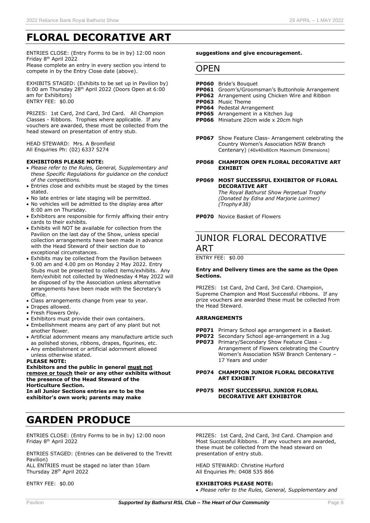# **FLORAL DECORATIVE ART**

ENTRIES CLOSE: (Entry Forms to be in by) 12:00 noon Friday 8<sup>th</sup> April 2022

Please complete an entry in every section you intend to compete in by the Entry Close date (above).

EXHIBITS STAGED: (Exhibits to be set up in Pavilion by) 8:00 am Thursday 28<sup>th</sup> April 2022 (Doors Open at 6:00 am for Exhibitors) ENTRY FEE: \$0.00

PRIZES: 1st Card, 2nd Card, 3rd Card. All Champion Classes - Ribbons. Trophies where applicable. If any vouchers are awarded, these must be collected from the head steward on presentation of entry stub.

HEAD STEWARD: Mrs. A Bromfield All Enquiries Ph: (02) 6337 5274

#### **EXHIBITORS PLEASE NOTE:**

- *Please refer to the Rules, General, Supplementary and these Specific Regulations for guidance on the conduct of the competitions.*
- Entries close and exhibits must be staged by the times stated.
- No late entries or late staging will be permitted.
- No vehicles will be admitted to the display area after 8:00 am on Thursday.
- Exhibitors are responsible for firmly affixing their entry cards to their exhibits.
- Exhibits will NOT be available for collection from the Pavilion on the last day of the Show, unless special collection arrangements have been made in advance with the Head Steward of their section due to exceptional circumstances.
- Exhibits may be collected from the Pavilion between 9.00 am and 4.00 pm on Monday 2 May 2022. Entry Stubs must be presented to collect items/exhibits. Any item/exhibit not collected by Wednesday 4 May 2022 will be disposed of by the Association unless alternative arrangements have been made with the Secretary's Office.
- Class arrangements change from year to year.
- Drapes allowed.
- Fresh Flowers Only.
- Exhibitors must provide their own containers.
- Embellishment means any part of any plant but not another flower.
- Artificial adornment means any manufacture article such as polished stones, ribbons, drapes, figurines, etc.
- Any embellishment or artificial adornment allowed unless otherwise stated.

#### **PLEASE NOTE:**

#### **Exhibitors and the public in general must not remove or touch their or any other exhibits without the presence of the Head Steward of the Horticulture Section.**

**In all Junior Sections entries are to be the exhibitor's own work; parents may make**

# **GARDEN PRODUCE**

ENTRIES CLOSE: (Entry Forms to be in by) 12:00 noon Friday 8<sup>th</sup> April 2022

ENTRIES STAGED: (Entries can be delivered to the Trevitt Pavilion)

ALL ENTRIES must be staged no later than 10am Thursday 28 th April 2022

ENTRY FEE: \$0.00

#### **suggestions and give encouragement.**

# **OPFN**

#### **PP060** Bride's Bouquet

- **PP061** Groom's/Groomsman's Buttonhole Arrangement
- **PP062** Arrangement using Chicken Wire and Ribbon
- **PP063** Music Theme
- **PP064** Pedestal Arrangement
- **PP065** Arrangement in a Kitchen Jug
- **PP066** Miniature 20cm wide x 20cm high
- **PP067** Show Feature Class- Arrangement celebrating the Country Women's Association NSW Branch Centenary) (40x40x80cm Maximum Dimensions)
- **PP068 CHAMPION OPEN FLORAL DECORATIVE ART EXHIBIT**

#### **PP069 MOST SUCCESSFUL EXHIBITOR OF FLORAL DECORATIVE ART** *The Royal Bathurst Show Perpetual Trophy*

*(Donated by Edna and Marjorie Lorimer) (Trophy#38)*

**PP070** Novice Basket of Flowers

# JUNIOR FLORAL DECORATIVE ART

ENTRY FEE: \$0.00

#### **Entry and Delivery times are the same as the Open Sections.**

PRIZES: 1st Card, 2nd Card, 3rd Card. Champion, Supreme Champion and Most Successful ribbons. If any prize vouchers are awarded these must be collected from the Head Steward.

## **ARRANGEMENTS**

- **PP071** Primary School age arrangement in a Basket.
- **PP072** Secondary School age-arrangement in a Jug
- **PP073** Primary/Secondary Show Feature Class Arrangement of Flowers celebrating the Country Women's Association NSW Branch Centenary – 17 Years and under

### **PP074 CHAMPION JUNIOR FLORAL DECORATIVE ART EXHIBIT**

#### **PP075 MOST SUCCESSFUL JUNIOR FLORAL DECORATIVE ART EXHIBITOR**

PRIZES: 1st Card, 2nd Card, 3rd Card. Champion and Most Successful Ribbons. If any vouchers are awarded, these must be collected from the head steward on presentation of entry stub.

HEAD STEWARD: Christine Hurford All Enquiries Ph: 0408 535 866

### **EXHIBITORS PLEASE NOTE:**

• *Please refer to the Rules, General, Supplementary and*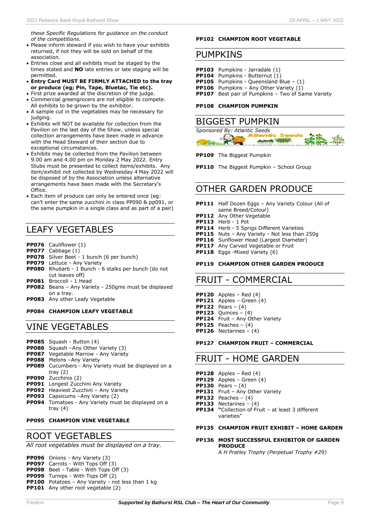*these Specific Regulations for guidance on the conduct of the competitions.*

- Please inform steward if you wish to have your exhibits returned, if not they will be sold on behalf of the association.
- Entries close and all exhibits must be staged by the times stated and **NO** late entries or late staging will be permitted.
- **Entry Card MUST BE FIRMLY ATTACHED to the tray or produce (eg; Pin, Tape, Bluetac, Tie etc).**
- First prize awarded at the discretion of the judge. • Commercial greengrocers are not eligible to compete. All exhibits to be grown by the exhibitor.
- A sample cut in the vegetables may be necessary for judging.
- Exhibits will NOT be available for collection from the Pavilion on the last day of the Show, unless special collection arrangements have been made in advance with the Head Steward of their section due to exceptional circumstances.
- Exhibits may be collected from the Pavilion between 9.00 am and 4.00 pm on Monday 2 May 2022. Entry Stubs must be presented to collect items/exhibits. Any item/exhibit not collected by Wednesday 4 May 2022 will be disposed of by the Association unless alternative arrangements have been made with the Secretary's Office.
- Each item of produce can only be entered once (eg: can't enter the same zucchini in class PP090 & pp091, or the same pumpkin in a single class and as part of a pair)

# LEAFY VEGETABLES

- **PP076** Cauliflower (1)
- **PP077** Cabbage (1)
- **PP078** Silver Beet 1 bunch (6 per bunch)
- **PP079** Lettuce Any Variety
- **PP080** Rhubarb 1 Bunch 6 stalks per bunch (do not cut leaves off)
- **PP081** Broccoli 1 Head
- **PP082** Beans Any Variety 250gms must be displayed on a tray.
- **PP083** Any other Leafy Vegetable

# **PP084 CHAMPION LEAFY VEGETABLE**

# VINE VEGETABLES

- **PP085** Squash Button (4)
- **PP086** Squash –Any Other Variety (3)
- **PP087** Vegetable Marrow Any Variety
- **PP088** Melons –Any Variety
- **PP089** Cucumbers Any Variety must be displayed on a tray (2)
- **PP090** Zucchinis (2)
- **PP091** Longest Zucchini Any Variety
- **PP092** Heaviest Zucchini Any Variety
- **PP093** Capsicums –Any Variety (2)
- **PP094** Tomatoes Any Variety must be displayed on a tray (4)

# **PP095 CHAMPION VINE VEGETABLE**

# ROOT VEGETABLES

*All root vegetables must be displayed on a tray.*

**PP096** Onions - Any Variety (3)

- **PP097** Carrots With Tops Off (3)
- **PP098** Beet Table With Tops Off (3)
- **PP099** Turnips With Tops Off (2)
- **PP100** Potatoes Any Variety not less than 1 kg **PP101** Any other root vegetable (2)

**PP102 CHAMPION ROOT VEGETABLE**

# PUMPKINS

**PP103** Pumpkins - Jarradale (1) **PP104** Pumpkins - Butternut (1) **PP105** Pumpkins - Queensland Blue – (1) **PP106** Pumpkins – Any Other Variety (1) **PP107** Best pair of Pumpkins – Two of Same Variety

### **PP108 CHAMPION PUMPKIN**

# BIGGEST PUMPKIN



**PP109** The Biggest Pumpkin

**PP110** The Biggest Pumpkin – School Group

# OTHER GARDEN PRODUCE

- **PP111** Half Dozen Eggs Any Variety Colour (All of same Breed/Colour)
- **PP112** Any Other Vegetable
- **PP113** Herb 1 Pot
- **PP114** Herb 5 Sprigs Different Varieties
- **PP115** Nuts Any Variety Not less than 250g
- **PP116** Sunflower Head (Largest Diameter)
- **PP117** Any Carved Vegetable or Fruit
- **PP118** Eggs -Mixed Variety (6)

### **PP119 CHAMPION OTHER GARDEN PRODUCE**

# FRUIT - COMMERCIAL

**PP120** Apples – Red (4) **PP121** Apples – Green (4) **PP122** Pears – (4) **PP123** Quinces – (4) **PP124** Fruit – Any Other Variety **PP125** Peaches – (4) **PP126** Nectarines – (4)

### **PP127 CHAMPION FRUIT – COMMERCIAL**

# FRUIT - HOME GARDEN

- **PP128** Apples Red (4)
- **PP129** Apples Green (4)
- **PP130** Pears (4)
- **PP131** Fruit Any Other Variety
- **PP132** Peaches (4)
- **PP133** Nectarines (4)
- **PP134 "**Collection of Fruit at least 3 different varieties"

# **PP135 CHAMPION FRUIT EXHIBIT – HOME GARDEN**

# **PP136 MOST SUCCESSFUL EXHIBITOR OF GARDEN PRODUCE**

*A H Pratley Trophy (Perpetual Trophy #29)*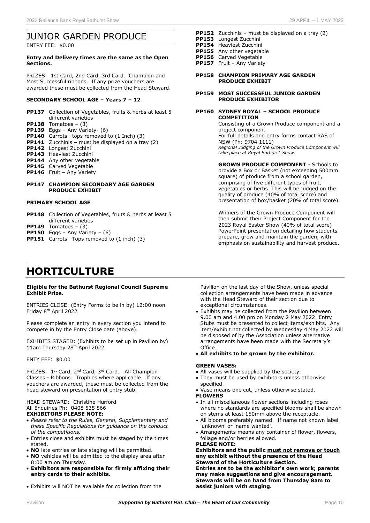# JUNIOR GARDEN PRODUCE

ENTRY FEE: \$0.00

#### **Entry and Delivery times are the same as the Open Sections.**

PRIZES: 1st Card, 2nd Card, 3rd Card. Champion and Most Successful ribbons. If any prize vouchers are awarded these must be collected from the Head Steward.

# **SECONDARY SCHOOL AGE – Years 7 – 12**

- **PP137** Collection of Vegetables, fruits & herbs at least 5 different varieties
- **PP138** Tomatoes (3)
- **PP139** Eggs Any Variety- (6)
- **PP140** Carrots –tops removed to (1 Inch) (3)
- **PP141** Zucchinis must be displayed on a tray (2)
- **PP142** Longest Zucchini
- **PP143** Heaviest Zucchini
- **PP144** Any other vegetable
- **PP145** Carved Vegetable
- **PP146** Fruit Any Variety

#### **PP147 CHAMPION SECONDARY AGE GARDEN PRODUCE EXHIBIT**

#### **PRIMARY SCHOOL AGE**

- **PP148** Collection of Vegetables, fruits & herbs at least 5 different varieties
- **PP149** Tomatoes (3)
- **PP150** Eggs Any Variety (6)
- **PP151** Carrots –Tops removed to (1 inch) (3)

# **HORTICULTURE**

#### **Eligible for the Bathurst Regional Council Supreme Exhibit Prize.**

ENTRIES CLOSE: (Entry Forms to be in by) 12:00 noon Friday 8<sup>th</sup> April 2022

Please complete an entry in every section you intend to compete in by the Entry Close date (above).

EXHIBITS STAGED: (Exhibits to be set up in Pavilion by) 11am Thursday 28<sup>th</sup> April 2022

#### ENTY FEE: \$0.00

PRIZES: 1<sup>st</sup> Card, 2<sup>nd</sup> Card, 3<sup>rd</sup> Card. All Champion Classes - Ribbons. Trophies where applicable. If any vouchers are awarded, these must be collected from the head steward on presentation of entry stub.

#### HEAD STEWARD: Christine Hurford All Enquiries Ph: 0408 535 866 **EXHIBITORS PLEASE NOTE:**

- *Please refer to the Rules, General, Supplementary and these Specific Regulations for guidance on the conduct of the competitions.*
- Entries close and exhibits must be staged by the times stated.
- **NO** late entries or late staging will be permitted.
- **NO** vehicles will be admitted to the display area after 8:00 am on Thursday.
- **Exhibitors are responsible for firmly affixing their entry cards to their exhibits.**
- Exhibits will NOT be available for collection from the

Pavilion on the last day of the Show, unless special

- Exhibits may be collected from the Pavilion between 9.00 am and 4.00 pm on Monday 2 May 2022. Entry Stubs must be presented to collect items/exhibits. Any item/exhibit not collected by Wednesday 4 May 2022 will be disposed of by the Association unless alternative arrangements have been made with the Secretary's Office.
- **All exhibits to be grown by the exhibitor.**

#### **GREEN VASES:**

- All vases will be supplied by the society.
- They must be used by exhibitors unless otherwise specified.
- Vase means one cut, unless otherwise stated. **FLOWERS**
- In all miscellaneous flower sections including roses where no standards are specified blooms shall be shown on stems at least 150mm above the receptacle.
- All blooms preferably named. If name not known label 'unknown' or 'name wanted'.
- Arrangements means any container of flower, flowers, foliage and/or berries allowed.

#### **PLEASE NOTE:**

**Exhibitors and the public must not remove or touch any exhibit without the presence of the Head Steward of the Horticulture Section. Entries are to be the exhibitor's own work; parents may make suggestions and give encouragement. Stewards will be on hand from Thursday 8am to assist juniors with staging.**

collection arrangements have been made in advance with the Head Steward of their section due to exceptional circumstances.

**GROWN PRODUCE COMPONENT** - Schools to provide a Box or Basket (not exceeding 500mm square) of produce from a school garden,

**PP152** Zucchinis – must be displayed on a tray (2)

**PP158 CHAMPION PRIMARY AGE GARDEN** 

**PP159 MOST SUCCESSFUL JUNIOR GARDEN PRODUCE EXHIBITOR**

**PP160 SYDNEY ROYAL – SCHOOL PRODUCE** 

*take place at Royal Bathurst Show*.

**PRODUCE EXHIBIT**

**COMPETITION**

project component

NSW (Ph: 9704 1111)

**PP153** Longest Zucchini **PP154** Heaviest Zucchini **PP155** Any other vegetable **PP156** Carved Vegetable **PP157** Fruit – Any Variety

> comprising of five different types of fruit, vegetables or herbs. This will be judged on the quality of produce (40% of total score) and presentation of box/basket (20% of total score).

> Consisting of a Grown Produce component and a

*Regional Judging of the Grown Produce Component will* 

For full details and entry forms contact RAS of

Winners of the Grown Produce Component will then submit their Project Component for the 2023 Royal Easter Show (40% of total score) PowerPoint presentation detailing how students prepare, grow and maintain the garden, with emphasis on sustainability and harvest produce.